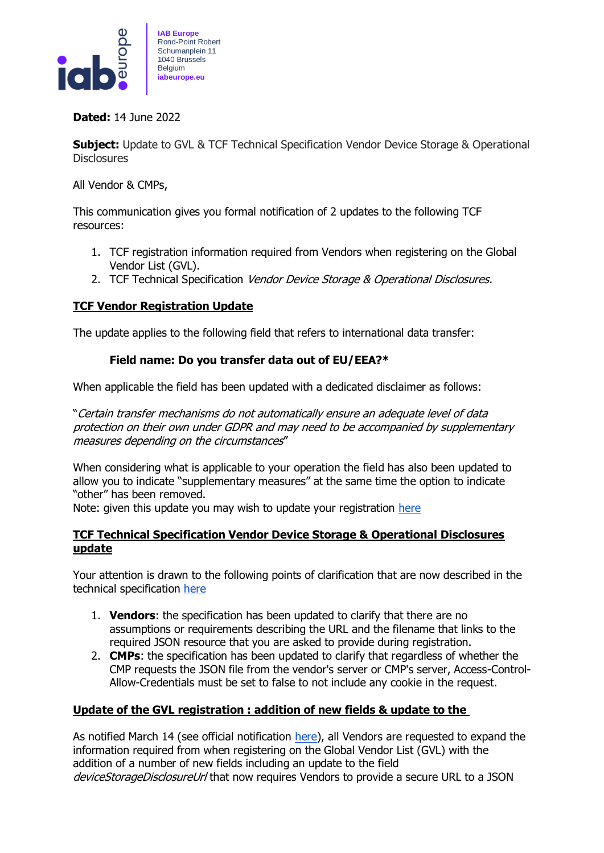

**Dated:** 14 June 2022

**Subject:** Update to GVL & TCF Technical Specification Vendor Device Storage & Operational **Disclosures** 

All Vendor & CMPs,

This communication gives you formal notification of 2 updates to the following TCF resources:

- 1. TCF registration information required from Vendors when registering on the Global Vendor List (GVL).
- 2. TCF Technical Specification Vendor Device Storage & Operational Disclosures.

## **TCF Vendor Registration Update**

The update applies to the following field that refers to international data transfer:

## **Field name: Do you transfer data out of EU/EEA?\***

When applicable the field has been updated with a dedicated disclaimer as follows:

"Certain transfer mechanisms do not automatically ensure an adequate level of data protection on their own under GDPR and may need to be accompanied by supplementary measures depending on the circumstances"

When considering what is applicable to your operation the field has also been updated to allow you to indicate "supplementary measures" at the same time the option to indicate "other" has been removed.

Note: given this update you may wish to update your registration [here](https://register.consensu.org/Login/Login)

## **TCF Technical Specification Vendor Device Storage & Operational Disclosures update**

Your attention is drawn to the following points of clarification that are now described in the technical specification [here](https://github.com/InteractiveAdvertisingBureau/GDPR-Transparency-and-Consent-Framework/blob/master/TCFv2/Vendor%20Device%20Storage%20%26%20Operational%20Disclosures.md#the-role-of-the-cmp)

- 1. **Vendors**: the specification has been updated to clarify that there are no assumptions or requirements describing the URL and the filename that links to the required JSON resource that you are asked to provide during registration.
- 2. **CMPs**: the specification has been updated to clarify that regardless of whether the CMP requests the JSON file from the vendor's server or CMP's server, Access-Control-Allow-Credentials must be set to false to not include any cookie in the request.

## **Update of the GVL registration : addition of new fields & update to the**

As notified March 14 (see official notification [here\)](https://iabeurope.eu/wp-content/uploads/2022/04/TCF_V-CMP_comms_UpdateOfTheGVLregistrationAdditionOfNewFields_140322_IABEurope.pdf), all Vendors are requested to expand the information required from when registering on the Global Vendor List (GVL) with the addition of a number of new fields including an update to the field deviceStorageDisclosureUrl that now requires Vendors to provide a secure URL to a JSON